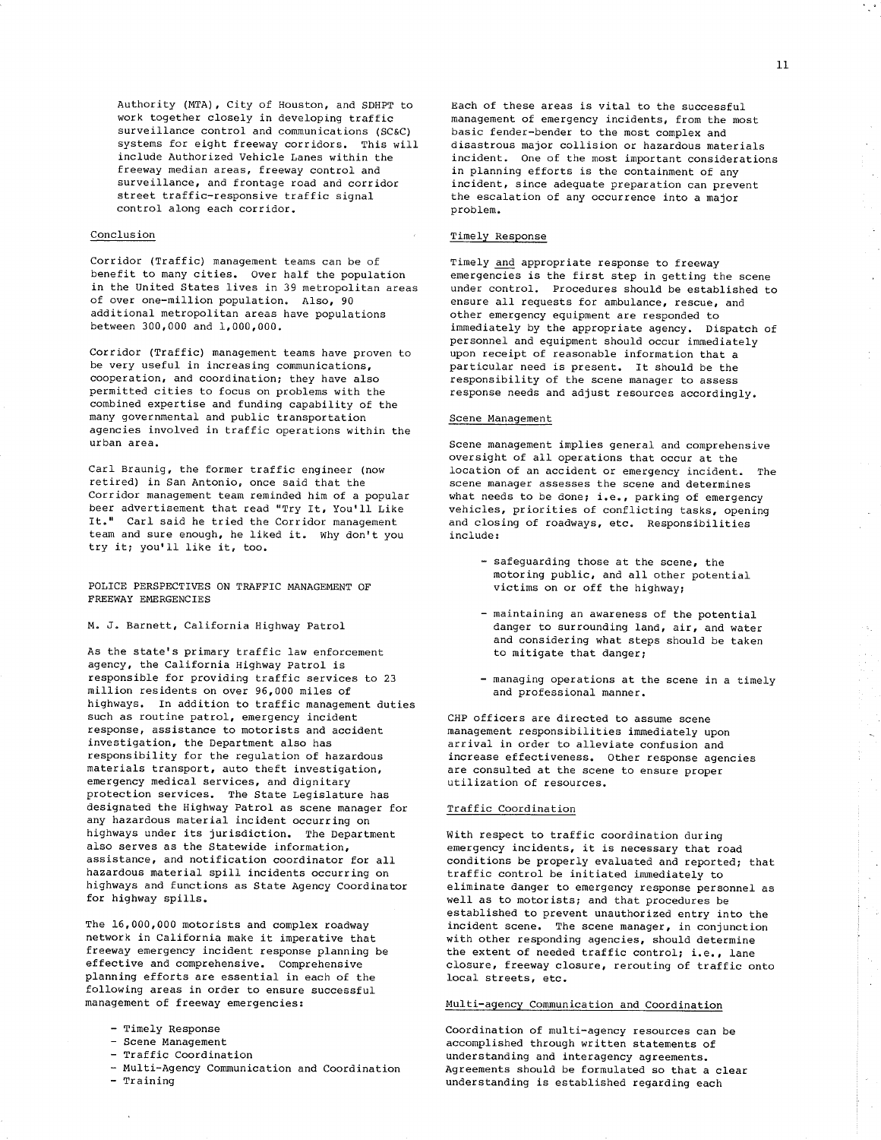Authority (MTA), City of Houston, and SDHPT to work together closely in developing traffic surveillance control and communications (SC&C) systems for eight freeway corridors. This will include Authorized Vehicle Lanes within the freeway median areas, freeway control and surveillance, and frontage road and corridor street traffic-responsive traffic signal control along each corridor.

## Conclusion

Corridor (Traffic) management teams can be of benefit to many cities. Over half the population in the United States lives in 39 metropolitan areas of over one-million population. Also, 90 additional metropolitan areas have populations between 300,000 and 1,000,000.

Corridor (Traffic) management teams have proven to be very useful in increasing communications, cooperation, and coordination; they have also permitted cities to focus on problems with the combined expertise and funding capability of the many governmental and public transportation agencies involved in traffic operations within the urban area.

Carl Braunig, the former traffic engineer (now retired) in San Antonio, once said that the Corridor management team reminded him of a popular beer advertisement that read "Try It, You'll Like It." Carl said he tried the Corridor management team and sure enough, he liked it. Why don't you try it; you'll like it, too.

POLICE PERSPECTIVES ON TRAFFIC MANAGEMENT OF FREEWAY EMERGENCIES

### M. J. Barnett, California Highway Patrol

As the state's primary traffic law enforcement agency, the California Highway Patrol is responsible for providing traffic services to 23 million residents on over 96,000 miles of highways. In addition to traffic management duties such as routine patrol, emergency incident response, assistance to motorists and accident investigation, the Department also has responsibility for the regulation of hazardous materials transport, auto theft investigation, emergency medical services, and dignitary protection services. The State Legislature has designated the Highway Patrol as scene manager for any hazardous material incident occurring on highways under its jurisdiction. The Department also serves as the Statewide information, assistance, and notification coordinator for all hazardous material spill incidents occurring on highways and functions as State Agency Coordinator for highway spills.

The 16,000,000 motorists and complex roadway network in California make it imperative that freeway emergency incident response planning be effective and comprehensive. Comprehensive planning efforts are essential in each of the following areas in order to ensure successful management of freeway emergencies:

- Timely Response
- Scene Management
- Traffic Coordination
- Multi-Agency Communication and Coordination
- $-$  Training

 $\bar{\mathcal{A}}$ 

 $\mathbf{r}$ 

 $\bar{z}$ 

 $\bar{\gamma}$ 

 $\mathbb{Q}_4$ 

 $\begin{array}{c} 1 \\ 1 \\ 2 \end{array}$ 

 $\mathcal{L}_{\mu}$ 

 $\sim$ 

Each of these areas is vital to the successful management of emergency incidents, from the most basic fender-bender to the most complex and disastrous major collision or hazardous materials incident. One of the most important considerations in planning efforts is the containment of any incident, since adequate preparation can prevent the escalation of any occurrence into a major problem.

# Timely Response

Timely and appropriate response to freeway emergencies is the first step in getting the scene under control. Procedures should be established to ensure all requests for ambulance, rescue, and other emergency equipment are responded to immediately by the appropriate agency. Dispatch of personnel and equipment should occur immediately upon receipt of reasonable information that a particular need is present. It should be the responsibility of the scene manager to assess response needs and adjust resources accordingly.

### Scene Management

Scene management implies general and comprehensive oversight of all operations that occur at the location of an accident or emergency incident. The scene manager assesses the scene and determines what needs to be done; i.e., parking of emergency vehicles, priorities of conflicting tasks, opening and closing of roadways, etc. Responsibilities include:

- safeguarding those at the scene, the motoring public, and all other potential victims on or off the highway;
- maintaining an awareness of the potential danger to surrounding land, air, and water and considering what steps should be taken to mitigate that danger;
- managing operations at the scene in a timely and professional manner.

CHP officers are directed to assume scene management responsibilities immediately upon arrival in order to alleviate confusion and increase effectiveness. Other response agencies are consulted at the scene to ensure proper utilization of resources.

# Traffic Coordination

With respect to traffic coordination during emergency incidents, it is necessary that road conditions be properly evaluated and reported; that traffic control be initiated immediately to eliminate danger to emergency response personnel as well as to motorists; and that procedures be established to prevent unauthorized entry into the incident scene. The scene manager, in conjunction with other responding agencies, should determine the extent of needed traffic control; i.e., lane closure, freeway closure, rerouting of traffic onto local streets, etc.

## Multi-agency Communication and Coordination

Coordination of multi-agency resources can be accomplished through written statements of understanding and interagency agreements. Agreements should be formulated so that a clear understanding is established regarding each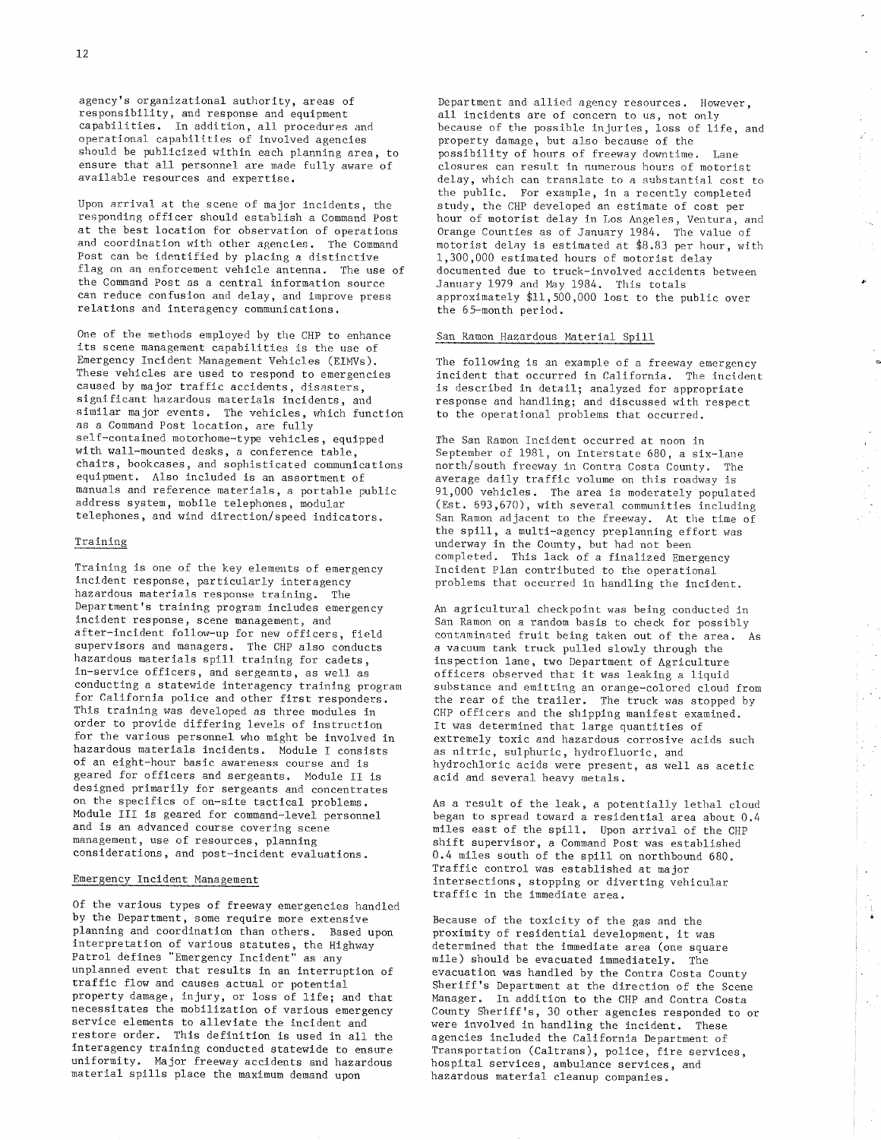agency's organizational authority, areas of responsibility, and response and equipment capabilities. In addition, all procedures and operational capabilities of involved agencies should be publicized within each planning area, to ensure that all personnel are made fully aware of available resources and expertise.

Upon arrival at the scene of major incidents, the responding officer should establish a Command Post at the best location for observation of operations and coordination with other agencies. The Command Post can be identified by placing a distinctive flag on an enforcement vehicle antenna. The use of the Command Post as a central information source can reduce confusion and delay, and improve press relations and interagency communications.

One of the methods employed by the CHP to enhance its scene management capabilities is the use of Emergency Incident Management Vehicles (EIMVs). These vehicles are used to respond to emergencies caused by major traffic accidents, disasters, significant hazardous materials incidents, and similar major events. The vehicles, which function as a Command Post location, are fully self-contained motorhome-type vehicles, equipped with wall-mounted desks, a conference table, chairs, bookcases, and sophisticated communications equipment. Also included is an assortment of manuals and reference materials, a portable public address system, mobile telephones, modular telephones, and wind direction/speed indicators.

## Training

Training is one of the key elements of emergency incident response, particularly interagency hazardous materials response training. The Department's training program includes emergency incident response, scene management, and after-incident follow-up for new officers, field supervisors and managers. The CHP also conducts hazardous materials spill training for cadets, in-service officers, and sergeants, as well as conducting a statewide interagency training program for California police and other first responders. This training was developed as three modules in order to provide differing levels of instruction for the various personnel who might be involved in hazardous materials incidents. Module I consists of an eight-hour basic awareness course and is geared for officers and sergeants. Module II is designed primarily for sergeants and concentrates on the specifics of on-site tactical problems. Module III is geared for command-level personnel and is an advanced course covering scene management, use of resources, planning considerations, and post-incident evaluations.

## Emergency Incident Management

Of the various types of freeway emergencies handled by the Department, some require more extensive planning and coordination than others. Based upon interpretation of various statutes, the Highway<br>Patrol defines "Emergency Incident" as any unplanned event that results in an interruption of traffic flow and causes actual or potential property damage, injury, or loss of life; and that necessitates the mobilization of various emergency service elements to alleviate the incident and restore order. This definition is used in all the interagency training conducted statewide to ensure uniformity. Major freeway accidents and hazardous material spills place the maximum demand upon

Department and allied agency resources. However, all incidents are of concern to us, not only because of the possible injuries, loss of life, and property damage, but also because of the possibility of hours of freeway downtime. Lane closures can result in numerous hours of motorist delay, which can translate to a substantial cost to the public. For example, in a recently completed study, the CHP developed an estimate of cost per hour of motorist delay in Los Angeles, Ventura, and Orange Counties as of January 1984. The value of motorist delay is estimated at \$8.83 per hour, with 1,300,000 estimated hours of motorist delay documented due to truck-involved accidents between January 1979 and May 1984. This totals approximately \$11,500,000 lost to the public over the 65-month period.

 $\Box$ 

 $\mathcal{L}_{\text{out}}$ 

чü,

Ġ

 $\mathbf{r}$ 

 $\epsilon^{\rm th}$ 

 $\bar{\beta}$ 

 $\frac{1}{2} \sum_{i=1}^{n} \frac{1}{2} \sum_{j=1}^{n} \frac{1}{2} \sum_{j=1}^{n} \frac{1}{2} \sum_{j=1}^{n} \frac{1}{2} \sum_{j=1}^{n} \frac{1}{2} \sum_{j=1}^{n} \frac{1}{2} \sum_{j=1}^{n} \frac{1}{2} \sum_{j=1}^{n} \frac{1}{2} \sum_{j=1}^{n} \frac{1}{2} \sum_{j=1}^{n} \frac{1}{2} \sum_{j=1}^{n} \frac{1}{2} \sum_{j=1}^{n} \frac{1}{2} \sum_{j=1}^{n$ 

 $\frac{1}{2}$ 

 $\sim$ 

 $\mathbb{Z}/\mathbb{R}$ 

 $\sim$ 

 $\chi^{(2)}$ 

#### San Ramon Hazardous Material Spill

The following is an example of a freeway emergency incident that occurred in California. The incident is described in detail; analyzed for appropriate response and handling; and discussed with respect to the operational problems that occurred.

The San Ramon Incident occurred at noon in September of 1981, on Interstate 680, a six-lane north/south freeway in Contra Costa County. The average daily traffic volume on this roadway is  $91,000$  vehicles. The area is moderately populated (Est. 693,670), with several communities including San Ramon adjacent to the freeway. At the time of the spill, a multi-agency preplanning effort was underway in the County, but had not been completed. This lack of a finalized Emergency Incident Plan contributed to the operational problems that occurred in handling the incident.

An agricultural checkpoint was being conducted in San Ramon on a random basis to check for possibly contaminated fruit being taken out of the area. As a vacuum tank truck pulled slowly through the inspection lane, two Department of Agriculture officers observed that it was leaking a liquid substance and emitting an orange-colored cloud from the rear of the trailer. The truck was stopped by CHP officers and the shipping manifest examined. It was determined that large quantities of extremely toxic and hazardous corrosive acids such as nitric, sulphuric, hydrofluoric, and hydrochloric acids were present, as well as acetic acid and several heavy metals.

As a result of the leak, a potentially lethal cloud began to spread toward a residential area about 0.4 miles east of the spill. Upon arrival of the CHP shift supervisor, a Command Post was established 0.4 miles south of the spill on northbound 680. Traffic control was established at major intersections, stopping or diverting vehicular traffic in the immediate area.

Because of the toxicity of the gas and the proximity of residential development, it was determined that the immediate area (one square mile) should be evacuated immediately. The evacuation was handled by the Contra Costa County Sheriff's Department at the direction of the Scene Manager. In addition to the CHP and Contra Costa County Sheriff's, 30 other agencies responded to or were involved in handling the incident. These agencies included the California Department of Transportation (Caltrans), police, fire services, hospital services, ambulance services, and hazardous material cleanup companies.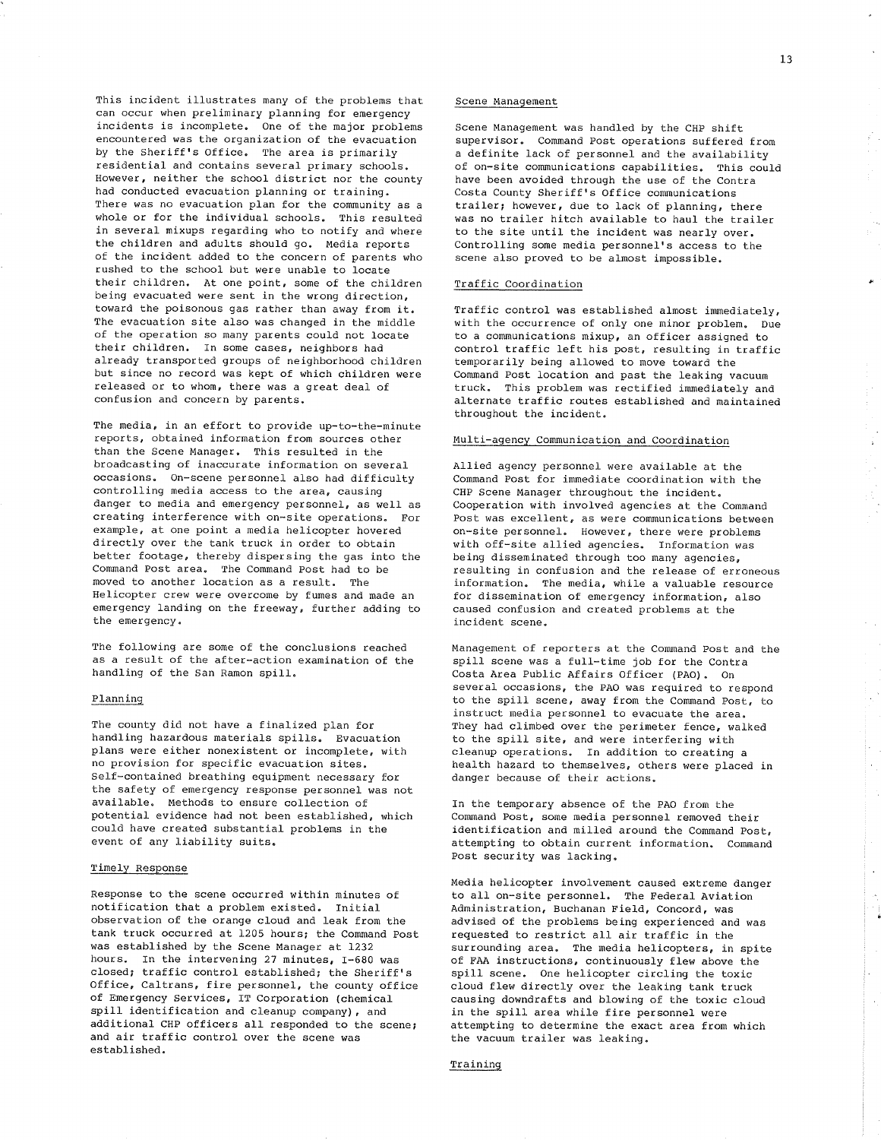This incident illustrates many of the problems that can occur when prelininary planning for energency íncidents is incomplete. One of the major problems encountered was the organization of the evacuation by the Sheriff's Office. The area is primarily residential and contains several primary schools. However, neither the school district nor the county had conducted evacuation planning or training. There was no evacuation plan for the community as a whole or for the individual schools. This resulted in several mixups regarding who to notify and where the children and adults should go. Media reports of the incident added to the concern of parents who rushed to the school but were unable to locatê their children. At one point, some of the children being evacuated were sent in the wrong direction, toward the poisonous gas rather than away from it. The evacuation site also was changed in the middle of the operation so many parents could not locate their children. In some cases, neighbors had aLready transported groups of neighborhood children but since no record was kept of which children were released or to whom, there was a great deal of confusion and concern by parents.

The media, in an effort to provide up-to-the-minute reports, obtained infornation from sources other than the Scene Manager. This resulted in the broadcasting of inaccurate information on several occasions. On-scene personnel also had difficulty controlling nedia access to the area, causing danger to media and emergency personnel, as well as creating interference with on-site operations. For example, at one point a media helicopter hovered directly over the tank truck in order to obtain better footage, thereby dispersing the gas into the Comnand Post area. The Command post had to be moved to another location as a result. The Helicopter crew were overcome by fumes and made an emergency landing on the freeway, further adding to the emergency.

The following are some of the conclusions reached as a result of the after-action examination of the handling of the San Ramon spill.

### Planning

The county did not have a finaLized plan for handling hazardous materials spills. Evacuation plans were either nonexistent or incomplete, with no provision for specific evacuation sites. Self-contained breathing equipnent necessary for the safety of emergency response personnel was not available. Methods to ensure colLection of potential evidence had not been established, which could have created substantial probLems in the event of any liability suits.

#### TimeLy Response

Response to the scene occurred within minutes of notificatíon that a problem existed. InitiaL observation of the orange cloud and leak from the tank truck occurred at 1205 hours; the Command Post was established by the Scene Manager at 1232 hours. In the intervening 27 minutes, I-680 was closed; traffic control established; the Sheriff's Office, Caltrans, fire personnel, the county office of Emergency Services, IT Corporation (chemical spill identification and cleanup company), and additional CHP officers all responded to the scene; and air traffic control over the scene was establíshed.

### Scene Management

Scene Management was handled by the CHP shift supervisor. Command Post operations suffered from a definite Lack of personnel and the availability of on-site communications capabilities. This could have been avoided through the use of the Contra Costa County Sheriff's Office communications trailer; however, due to lack of planning, there was no trailer hitch available to haul the trailer to the site until the incident was nearly over. Controlling some media personnel's access to the scene also proved to be almost inpossible.

## Traffic Coordination

Traffic control was established almost inmediately, with the occurrence of only one minor problem. Due to a communications mixup, an officer assigned to control traffic left his post, resulting in traffic temporarily being allowed to move toward the Command Post location and past the leaking vacuum truck. This problem was rectified immediately and alternate traffic routes established and maintained throughout the incident.

#### Multi-agency Communication and Coordination

Allied agency personnel were available at the Command Post for immediate coordination with the CHP Scene Manager throughout the incident. Cooperation with invoLved agencies at the Conmand Post was excellent, as were communications between on-site personnel. However, there were problems with off-site allied agencies. Information was being disseminated through too many agencies, resulting in confusion and the release of erroneous information. The nedia, while a vaLuable resource for dissemination of emergency information, also caused confusion and created problems at the incident scene.

Management of reporters at the Command Post and the spill scene was a full-time job for the Contra Costa Area Public Affairs Officer (PAO). On several occasions, the PÀO was required to respond to the spill scene, away from the Command Post, to instruct nedia personnel to evacuate the area. They had climbed over the perimeter fence, walked to the spill site, and were interfering with cleanup operations. In addition to creating <sup>a</sup> health hazard to themselves, others were placed in danger because of their actions.

In the temporary absence of the pAO from the Comnand Post, some media personnel removed their identification and milled around the Command Post, attempting to obtain current information. Command Post security was lacking.

Media helicopter involvement caused extreme danger to all on-site personnel. The Federal Aviation Administration, Buchanan Field, Concord, was advised of the problems being experienced and was requested to restrict all air traffic in the surrounding area. The media helicopters, in spite of FAA instructions, continuously flew above the spill scene. One helicopter circling the toxic cLoud flew directly over the leaking tank truck causing downdrafts and blowing of the toxic cloud ín the spi1l area while fire personnel were attempting to deternine the exact area from which the vacuum trailer was leaking.

#### Training